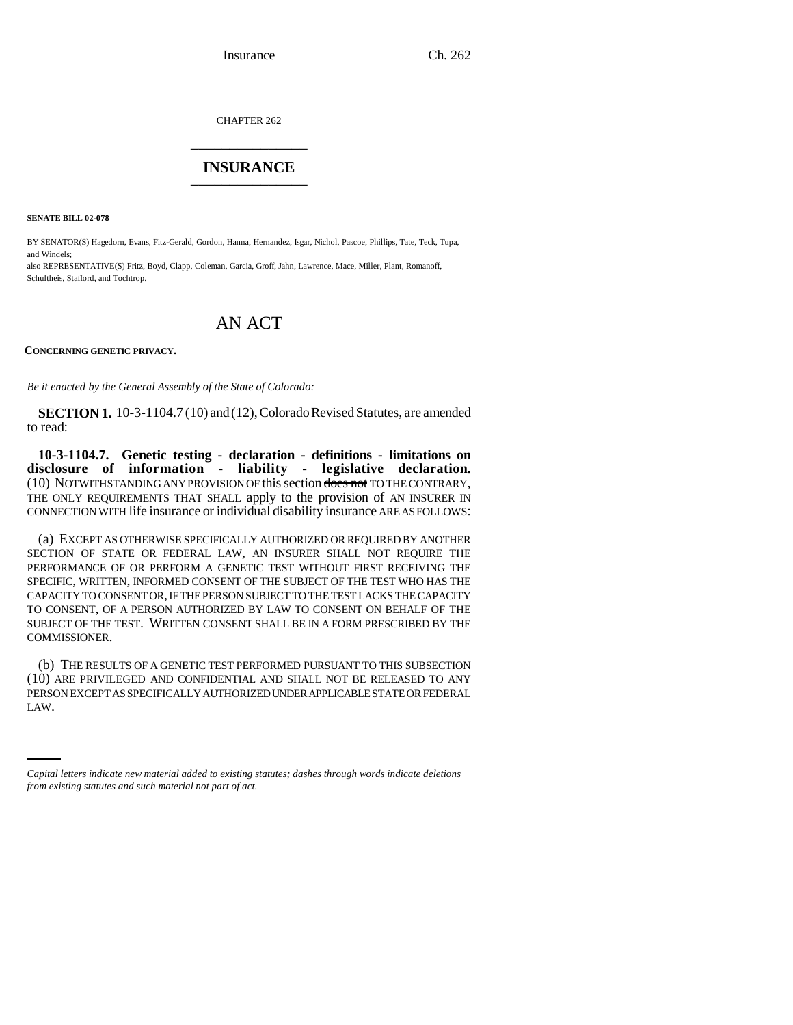CHAPTER 262 \_\_\_\_\_\_\_\_\_\_\_\_\_\_\_

## **INSURANCE** \_\_\_\_\_\_\_\_\_\_\_\_\_\_\_

**SENATE BILL 02-078**

BY SENATOR(S) Hagedorn, Evans, Fitz-Gerald, Gordon, Hanna, Hernandez, Isgar, Nichol, Pascoe, Phillips, Tate, Teck, Tupa, and Windels;

also REPRESENTATIVE(S) Fritz, Boyd, Clapp, Coleman, Garcia, Groff, Jahn, Lawrence, Mace, Miller, Plant, Romanoff, Schultheis, Stafford, and Tochtrop.

## AN ACT

**CONCERNING GENETIC PRIVACY.**

*Be it enacted by the General Assembly of the State of Colorado:*

**SECTION 1.** 10-3-1104.7 (10) and (12), Colorado Revised Statutes, are amended to read:

**10-3-1104.7. Genetic testing - declaration - definitions - limitations on disclosure of information - liability - legislative declaration.** (10) NOTWITHSTANDING ANY PROVISION OF this section does not TO THE CONTRARY, THE ONLY REQUIREMENTS THAT SHALL apply to the provision of AN INSURER IN CONNECTION WITH life insurance or individual disability insurance ARE AS FOLLOWS:

(a) EXCEPT AS OTHERWISE SPECIFICALLY AUTHORIZED OR REQUIRED BY ANOTHER SECTION OF STATE OR FEDERAL LAW, AN INSURER SHALL NOT REQUIRE THE PERFORMANCE OF OR PERFORM A GENETIC TEST WITHOUT FIRST RECEIVING THE SPECIFIC, WRITTEN, INFORMED CONSENT OF THE SUBJECT OF THE TEST WHO HAS THE CAPACITY TO CONSENT OR, IF THE PERSON SUBJECT TO THE TEST LACKS THE CAPACITY TO CONSENT, OF A PERSON AUTHORIZED BY LAW TO CONSENT ON BEHALF OF THE SUBJECT OF THE TEST. WRITTEN CONSENT SHALL BE IN A FORM PRESCRIBED BY THE COMMISSIONER.

PERSON EXCEPT AS SPECIFICALLY AUTHORIZED UNDER APPLICABLE STATE OR FEDERAL (b) THE RESULTS OF A GENETIC TEST PERFORMED PURSUANT TO THIS SUBSECTION (10) ARE PRIVILEGED AND CONFIDENTIAL AND SHALL NOT BE RELEASED TO ANY LAW.

*Capital letters indicate new material added to existing statutes; dashes through words indicate deletions from existing statutes and such material not part of act.*